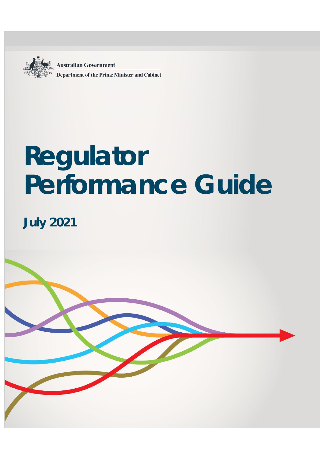**Australian Government Department of the Prime Minister and Cabinet** 

# **Regulator Performance Guide**

**July 2021**

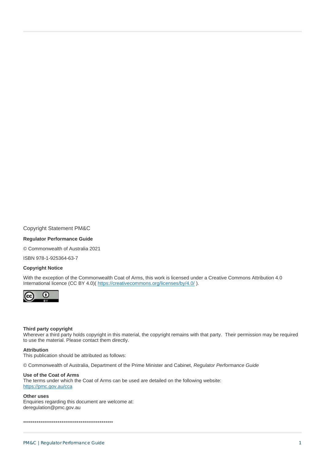**Copyright Statement PM&C** 

#### **Regulator Performance Guide**

© Commonwealth of Australia 2021

ISBN 978-1-925364-63-7

#### **Copyright Notice**

With the exception of the Commonwealth Coat of Arms, this work is licensed under a Creative Commons Attribution 4.0 International licence (CC BY 4.0)( https://creativecommons.org/licenses/by/4.0/).



#### Third party copyright

Wherever a third party holds copyright in this material, the copyright remains with that party. Their permission may be required to use the material. Please contact them directly.

#### **Attribution**

This publication should be attributed as follows:

© Commonwealth of Australia, Department of the Prime Minister and Cabinet, Regulator Performance Guide

#### Use of the Coat of Arms

The terms under which the Coat of Arms can be used are detailed on the following website:

#### https://pmc.gov.au/cca

#### Other uses

Enquiries regarding this document are welcome at: deregulation@pmc.gov.au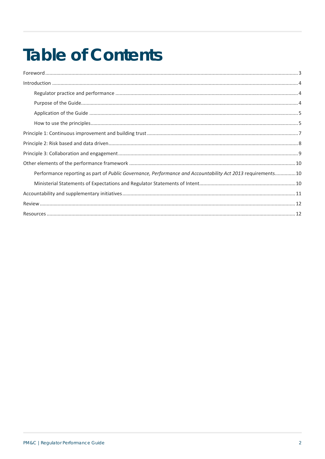## **Table of Contents**

| Performance reporting as part of Public Governance, Performance and Accountability Act 2013 requirements10 |  |
|------------------------------------------------------------------------------------------------------------|--|
|                                                                                                            |  |
|                                                                                                            |  |
|                                                                                                            |  |
|                                                                                                            |  |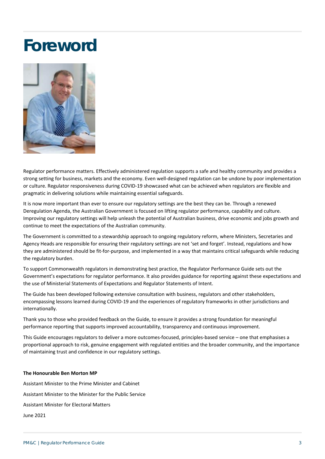## <span id="page-3-0"></span>**Foreword**



Regulator performance matters. Effectively administered regulation supports a safe and healthy community and provides a strong setting for business, markets and the economy. Even well-designed regulation can be undone by poor implementation or culture. Regulator responsiveness during COVID-19 showcased what can be achieved when regulators are flexible and pragmatic in delivering solutions while maintaining essential safeguards.

It is now more important than ever to ensure our regulatory settings are the best they can be. Through a renewed Deregulation Agenda, the Australian Government is focused on lifting regulator performance, capability and culture. Improving our regulatory settings will help unleash the potential of Australian business, drive economic and jobs growth and continue to meet the expectations of the Australian community.

The Government is committed to a stewardship approach to ongoing regulatory reform, where Ministers, Secretaries and Agency Heads are responsible for ensuring their regulatory settings are not 'set and forget'. Instead, regulations and how they are administered should be fit-for-purpose, and implemented in a way that maintains critical safeguards while reducing the regulatory burden.

To support Commonwealth regulators in demonstrating best practice, the Regulator Performance Guide sets out the Government's expectations for regulator performance. It also provides guidance for reporting against these expectations and the use of Ministerial Statements of Expectations and Regulator Statements of Intent.

The Guide has been developed following extensive consultation with business, regulators and other stakeholders, encompassing lessons learned during COVID-19 and the experiences of regulatory frameworks in other jurisdictions and internationally.

Thank you to those who provided feedback on the Guide, to ensure it provides a strong foundation for meaningful performance reporting that supports improved accountability, transparency and continuous improvement.

This Guide encourages regulators to deliver a more outcomes-focused, principles-based service – one that emphasises a proportional approach to risk, genuine engagement with regulated entities and the broader community, and the importance of maintaining trust and confidence in our regulatory settings.

#### **The Honourable Ben Morton MP**

Assistant Minister to the Prime Minister and Cabinet Assistant Minister to the Minister for the Public Service Assistant Minister for Electoral Matters June 2021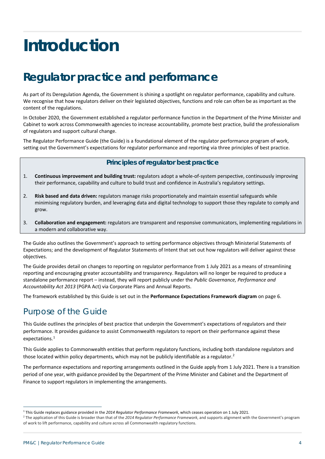## <span id="page-4-0"></span>**Introduction**

## <span id="page-4-1"></span>**Regulator practice and performance**

As part of its Deregulation Agenda, the Government is shining a spotlight on regulator performance, capability and culture. We recognise that how regulators deliver on their legislated objectives, functions and role can often be as important as the content of the regulations.

In October 2020, the Government established a regulator performance function in the Department of the Prime Minister and Cabinet to work across Commonwealth agencies to increase accountability, promote best practice, build the professionalism of regulators and support cultural change.

The Regulator Performance Guide (the Guide) is a foundational element of the regulator performance program of work, setting out the Government's expectations for regulator performance and reporting via three principles of best practice.

#### **Principles of regulator best practice**

- 1. **Continuous improvement and building trust:** regulators adopt a whole-of-system perspective, continuously improving their performance, capability and culture to build trust and confidence in Australia's regulatory settings.
- 2. **Risk based and data driven:** regulators manage risks proportionately and maintain essential safeguards while minimising regulatory burden, and leveraging data and digital technology to support those they regulate to comply and grow.
- 3. **Collaboration and engagement:** regulators are transparent and responsive communicators, implementing regulations in a modern and collaborative way.

The Guide also outlines the Government's approach to setting performance objectives through Ministerial Statements of Expectations; and the development of Regulator Statements of Intent that set out how regulators will deliver against these objectives.

The Guide provides detail on changes to reporting on regulator performance from 1 July 2021 as a means of streamlining reporting and encouraging greater accountability and transparency. Regulators will no longer be required to produce a standalone performance report – instead, they will report publicly under the *Public Governance, Performance and Accountability Act 2013* (PGPA Act) via Corporate Plans and Annual Reports.

The framework established by this Guide is set out in the **Performance Expectations Framework diagram** on page 6.

#### <span id="page-4-2"></span>Purpose of the Guide

This Guide outlines the principles of best practice that underpin the Government's expectations of regulators and their performance. It provides guidance to assist Commonwealth regulators to report on their performance against these expectations.<sup>[1](#page-4-3)</sup>

This Guide applies to Commonwealth entities that perform regulatory functions, including both standalone regulators and those located within policy departments, which may not be publicly identifiable as a regulator.<sup>[2](#page-4-4)</sup>

The performance expectations and reporting arrangements outlined in the Guide apply from 1 July 2021. There is a transition period of one year, with guidance provided by the Department of the Prime Minister and Cabinet and the Department of Finance to support regulators in implementing the arrangements.

 $\overline{a}$ 

<span id="page-4-4"></span><span id="page-4-3"></span><sup>&</sup>lt;sup>1</sup> This Guide replaces guidance provided in the 2014 Regulator Performance Framework, which ceases operation on 1 July 2021.<br><sup>2</sup> The application of this Guide is broader than that of the 2014 Regulator Performance Framewo of work to lift performance, capability and culture across all Commonwealth regulatory functions.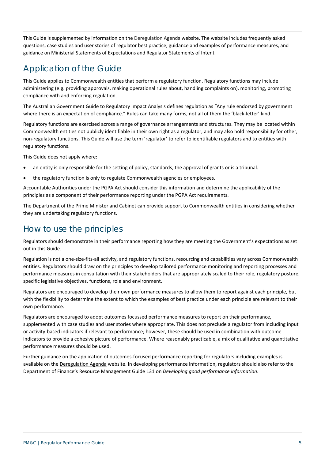This Guide is supplemented by information on th[e Deregulation Agenda](https://deregulation.pmc.gov.au/priorities/regulator-best-practice-and-performance/library) website. The website includes frequently asked questions, case studies and user stories of regulator best practice, guidance and examples of performance measures, and guidance on Ministerial Statements of Expectations and Regulator Statements of Intent.

#### <span id="page-5-0"></span>Application of the Guide

This Guide applies to Commonwealth entities that perform a regulatory function. Regulatory functions may include administering (e.g. providing approvals, making operational rules about, handling complaints on), monitoring, promoting compliance with and enforcing regulation.

The Australian Government Guide to Regulatory Impact Analysis defines regulation as "Any rule endorsed by government where there is an expectation of compliance." Rules can take many forms, not all of them the 'black-letter' kind.

Regulatory functions are exercised across a range of governance arrangements and structures. They may be located within Commonwealth entities not publicly identifiable in their own right as a regulator, and may also hold responsibility for other, non-regulatory functions. This Guide will use the term 'regulator' to refer to identifiable regulators and to entities with regulatory functions.

This Guide does not apply where:

- an entity is only responsible for the setting of policy, standards, the approval of grants or is a tribunal.
- the regulatory function is only to regulate Commonwealth agencies or employees.

Accountable Authorities under the PGPA Act should consider this information and determine the applicability of the principles as a component of their performance reporting under the PGPA Act requirements.

The Department of the Prime Minister and Cabinet can provide support to Commonwealth entities in considering whether they are undertaking regulatory functions.

#### <span id="page-5-1"></span>How to use the principles

Regulators should demonstrate in their performance reporting how they are meeting the Government's expectations as set out in this Guide.

Regulation is not a one-size-fits-all activity, and regulatory functions, resourcing and capabilities vary across Commonwealth entities. Regulators should draw on the principles to develop tailored performance monitoring and reporting processes and performance measures in consultation with their stakeholders that are appropriately scaled to their role, regulatory posture, specific legislative objectives, functions, role and environment.

Regulators are encouraged to develop their own performance measures to allow them to report against each principle, but with the flexibility to determine the extent to which the examples of best practice under each principle are relevant to their own performance.

Regulators are encouraged to adopt outcomes focussed performance measures to report on their performance, supplemented with case studies and user stories where appropriate. This does not preclude a regulator from including input or activity-based indicators if relevant to performance; however, these should be used in combination with outcome indicators to provide a cohesive picture of performance. Where reasonably practicable, a mix of qualitative and quantitative performance measures should be used.

Further guidance on the application of outcomes-focused performance reporting for regulators including examples is available on th[e Deregulation Agenda](https://deregulation.pmc.gov.au/priorities/regulator-best-practice-and-performance/library) website. In developing performance information, regulators should also refer to the Department of Finance's Resource Management Guide 131 on *[Developing good performance information](https://www.finance.gov.au/government/managing-commonwealth-resources/developing-good-performance-information-rmg-131#-3-requirements-for-performance-measures-)*.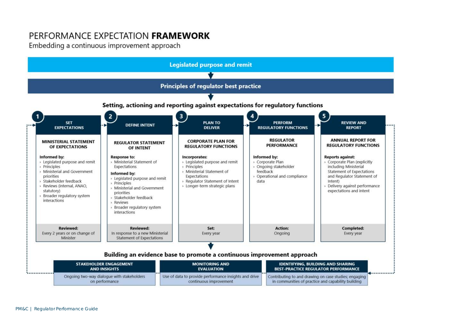### PERFORMANCE EXPECTATION FRAMEWORK

Embedding a continuous improvement approach

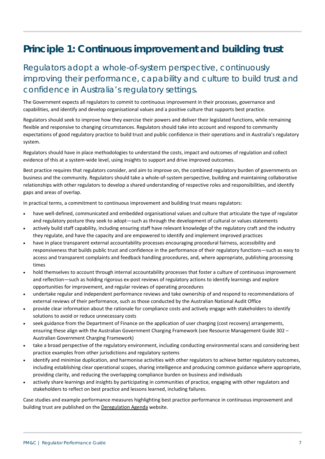## <span id="page-7-0"></span>**Principle 1: Continuous improvement and building trust**

### Regulators adopt a whole-of-system perspective, continuously improving their performance, capability and culture to build trust and confidence in Australia's regulatory settings.

The Government expects all regulators to commit to continuous improvement in their processes, governance and capabilities, and identify and develop organisational values and a positive culture that supports best practice.

Regulators should seek to improve how they exercise their powers and deliver their legislated functions, while remaining flexible and responsive to changing circumstances. Regulators should take into account and respond to community expectations of good regulatory practice to build trust and public confidence in their operations and in Australia's regulatory system.

Regulators should have in place methodologies to understand the costs, impact and outcomes of regulation and collect evidence of this at a system-wide level, using insights to support and drive improved outcomes.

Best practice requires that regulators consider, and aim to improve on, the combined regulatory burden of governments on business and the community. Regulators should take a whole-of-system perspective, building and maintaining collaborative relationships with other regulators to develop a shared understanding of respective roles and responsibilities, and identify gaps and areas of overlap.

In practical terms, a commitment to continuous improvement and building trust means regulators:

- have well-defined, communicated and embedded organisational values and culture that articulate the type of regulator and regulatory posture they seek to adopt—such as through the development of cultural or values statements
- actively build staff capability, including ensuring staff have relevant knowledge of the regulatory craft and the industry they regulate, and have the capacity and are empowered to identify and implement improved practices
- have in place transparent external accountability processes encouraging procedural fairness, accessibility and responsiveness that builds public trust and confidence in the performance of their regulatory functions—such as easy to access and transparent complaints and feedback handling procedures, and, where appropriate, publishing processing times
- hold themselves to account through internal accountability processes that foster a culture of continuous improvement and reflection—such as holding rigorous ex-post reviews of regulatory actions to identify learnings and explore opportunities for improvement, and regular reviews of operating procedures
- undertake regular and independent performance reviews and take ownership of and respond to recommendations of external reviews of their performance, such as those conducted by the Australian National Audit Office
- provide clear information about the rationale for compliance costs and actively engage with stakeholders to identify solutions to avoid or reduce unnecessary costs
- seek guidance from the Department of Finance on the application of user charging (cost recovery) arrangements, ensuring these align with the Australian Government Charging Framework (see Resource Management Guide 302 – Australian Government Charging Framework)
- take a broad perspective of the regulatory environment, including conducting environmental scans and considering best practice examples from other jurisdictions and regulatory systems
- identify and minimise duplication, and harmonise activities with other regulators to achieve better regulatory outcomes, including establishing clear operational scopes, sharing intelligence and producing common guidance where appropriate, providing clarity, and reducing the overlapping compliance burden on business and individuals
- actively share learnings and insights by participating in communities of practice, engaging with other regulators and stakeholders to reflect on best practice and lessons learned, including failures.

Case studies and example performance measures highlighting best practice performance in continuous improvement and building trust are published on th[e Deregulation Agenda](https://deregulation.pmc.gov.au/priorities/regulator-best-practice-and-performance/library) website.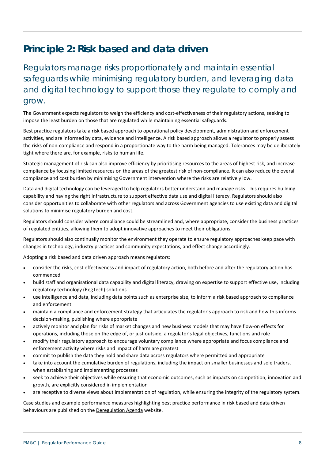## <span id="page-8-0"></span>**Principle 2: Risk based and data driven**

Regulators manage risks proportionately and maintain essential safeguards while minimising regulatory burden, and leveraging data and digital technology to support those they regulate to comply and grow.

The Government expects regulators to weigh the efficiency and cost-effectiveness of their regulatory actions, seeking to impose the least burden on those that are regulated while maintaining essential safeguards.

Best practice regulators take a risk based approach to operational policy development, administration and enforcement activities, and are informed by data, evidence and intelligence. A risk based approach allows a regulator to properly assess the risks of non-compliance and respond in a proportionate way to the harm being managed. Tolerances may be deliberately tight where there are, for example, risks to human life.

Strategic management of risk can also improve efficiency by prioritising resources to the areas of highest risk, and increase compliance by focusing limited resources on the areas of the greatest risk of non-compliance. It can also reduce the overall compliance and cost burden by minimising Government intervention where the risks are relatively low.

Data and digital technology can be leveraged to help regulators better understand and manage risks. This requires building capability and having the right infrastructure to support effective data use and digital literacy. Regulators should also consider opportunities to collaborate with other regulators and across Government agencies to use existing data and digital solutions to minimise regulatory burden and cost.

Regulators should consider where compliance could be streamlined and, where appropriate, consider the business practices of regulated entities, allowing them to adopt innovative approaches to meet their obligations.

Regulators should also continually monitor the environment they operate to ensure regulatory approaches keep pace with changes in technology, industry practices and community expectations, and effect change accordingly.

Adopting a risk based and data driven approach means regulators:

- consider the risks, cost effectiveness and impact of regulatory action, both before and after the regulatory action has commenced
- build staff and organisational data capability and digital literacy, drawing on expertise to support effective use, including regulatory technology (RegTech) solutions
- use intelligence and data, including data points such as enterprise size, to inform a risk based approach to compliance and enforcement
- maintain a compliance and enforcement strategy that articulates the regulator's approach to risk and how this informs decision-making, publishing where appropriate
- actively monitor and plan for risks of market changes and new business models that may have flow-on effects for operations, including those on the edge of, or just outside, a regulator's legal objectives, functions and role
- modify their regulatory approach to encourage voluntary compliance where appropriate and focus compliance and enforcement activity where risks and impact of harm are greatest
- commit to publish the data they hold and share data across regulators where permitted and appropriate
- take into account the cumulative burden of regulations, including the impact on smaller businesses and sole traders, when establishing and implementing processes
- seek to achieve their objectives while ensuring that economic outcomes, such as impacts on competition, innovation and growth, are explicitly considered in implementation
- are receptive to diverse views about implementation of regulation, while ensuring the integrity of the regulatory system.

Case studies and example performance measures highlighting best practice performance in risk based and data driven behaviours are published on the [Deregulation Agenda](https://deregulation.pmc.gov.au/priorities/regulator-best-practice-and-performance/library) website.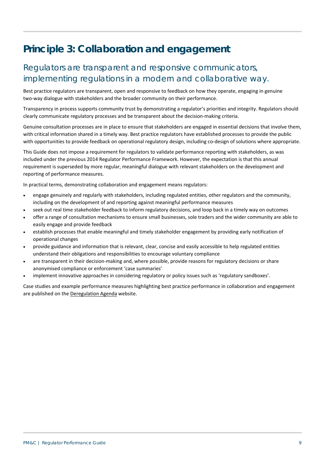## <span id="page-9-0"></span>**Principle 3: Collaboration and engagement**

#### Regulators are transparent and responsive communicators, implementing regulations in a modern and collaborative way.

Best practice regulators are transparent, open and responsive to feedback on how they operate, engaging in genuine two-way dialogue with stakeholders and the broader community on their performance.

Transparency in process supports community trust by demonstrating a regulator's priorities and integrity. Regulators should clearly communicate regulatory processes and be transparent about the decision-making criteria.

Genuine consultation processes are in place to ensure that stakeholders are engaged in essential decisions that involve them, with critical information shared in a timely way. Best practice regulators have established processes to provide the public with opportunities to provide feedback on operational regulatory design, including co-design of solutions where appropriate.

This Guide does not impose a requirement for regulators to validate performance reporting with stakeholders, as was included under the previous 2014 Regulator Performance Framework. However, the expectation is that this annual requirement is superseded by more regular, meaningful dialogue with relevant stakeholders on the development and reporting of performance measures.

In practical terms, demonstrating collaboration and engagement means regulators:

- engage genuinely and regularly with stakeholders, including regulated entities, other regulators and the community, including on the development of and reporting against meaningful performance measures
- seek out real time stakeholder feedback to inform regulatory decisions, and loop back in a timely way on outcomes
- offer a range of consultation mechanisms to ensure small businesses, sole traders and the wider community are able to easily engage and provide feedback
- establish processes that enable meaningful and timely stakeholder engagement by providing early notification of operational changes
- provide guidance and information that is relevant, clear, concise and easily accessible to help regulated entities understand their obligations and responsibilities to encourage voluntary compliance
- are transparent in their decision-making and, where possible, provide reasons for regulatory decisions or share anonymised compliance or enforcement 'case summaries'
- implement innovative approaches in considering regulatory or policy issues such as 'regulatory sandboxes'.

Case studies and example performance measures highlighting best practice performance in collaboration and engagement are published on th[e Deregulation Agenda](https://deregulation.pmc.gov.au/priorities/regulator-best-practice-and-performance/library) website.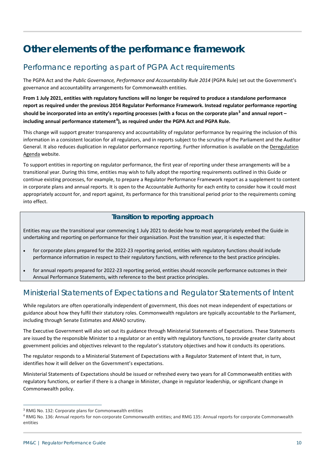## <span id="page-10-0"></span>**Other elements of the performance framework**

#### <span id="page-10-1"></span>Performance reporting as part of PGPA Act requirements

The PGPA Act and the *Public Governance, Performance and Accountability Rule 2014* (PGPA Rule) set out the Government's governance and accountability arrangements for Commonwealth entities.

**From 1 July 2021, entities with regulatory functions will no longer be required to produce a standalone performance report as required under the previous 2014 Regulator Performance Framework. Instead regulator performance reporting should be incorporated into an entity's reporting processes (with a focus on the corporate plan[3](#page-10-3) and annual report – including annual performance statement[4](#page-10-4) ), as required under the PGPA Act and PGPA Rule.** 

This change will support greater transparency and accountability of regulator performance by requiring the inclusion of this information in a consistent location for all regulators, and in reports subject to the scrutiny of the Parliament and the Auditor General. It also reduces duplication in regulator performance reporting. Further information is available on th[e Deregulation](https://deregulation.pmc.gov.au/priorities/regulator-best-practice-and-performance/regulator-performance-guide)  [Agenda](https://deregulation.pmc.gov.au/priorities/regulator-best-practice-and-performance/regulator-performance-guide) website.

To support entities in reporting on regulator performance, the first year of reporting under these arrangements will be a transitional year. During this time, entities may wish to fully adopt the reporting requirements outlined in this Guide or continue existing processes, for example, to prepare a Regulator Performance Framework report as a supplement to content in corporate plans and annual reports. It is open to the Accountable Authority for each entity to consider how it could most appropriately account for, and report against, its performance for this transitional period prior to the requirements coming into effect.

#### **Transition to reporting approach**

Entities may use the transitional year commencing 1 July 2021 to decide how to most appropriately embed the Guide in undertaking and reporting on performance for their organisation. Post the transition year, it is expected that:

- for corporate plans prepared for the 2022-23 reporting period, entities with regulatory functions should include performance information in respect to their regulatory functions, with reference to the best practice principles.
- for annual reports prepared for 2022-23 reporting period, entities should reconcile performance outcomes in their Annual Performance Statements, with reference to the best practice principles.

#### <span id="page-10-2"></span>Ministerial Statements of Expectations and Regulator Statements of Intent

While regulators are often operationally independent of government, this does not mean independent of expectations or guidance about how they fulfil their statutory roles. Commonwealth regulators are typically accountable to the Parliament, including through Senate Estimates and ANAO scrutiny.

The Executive Government will also set out its guidance through Ministerial Statements of Expectations. These Statements are issued by the responsible Minister to a regulator or an entity with regulatory functions, to provide greater clarity about government policies and objectives relevant to the regulator's statutory objectives and how it conducts its operations.

The regulator responds to a Ministerial Statement of Expectations with a Regulator Statement of Intent that, in turn, identifies how it will deliver on the Government's expectations.

Ministerial Statements of Expectations should be issued or refreshed every two years for all Commonwealth entities with regulatory functions, or earlier if there is a change in Minister, change in regulator leadership, or significant change in Commonwealth policy.

 $\overline{a}$ 

<span id="page-10-3"></span><sup>3</sup> RMG No. 132: Corporate plans for Commonwealth entities

<span id="page-10-4"></span><sup>4</sup> RMG No. 136: Annual reports for non-corporate Commonwealth entities; and RMG 135: Annual reports for corporate Commonwealth entities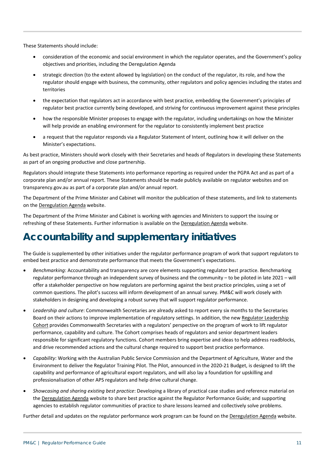These Statements should include:

- consideration of the economic and social environment in which the regulator operates, and the Government's policy objectives and priorities, including the Deregulation Agenda
- strategic direction (to the extent allowed by legislation) on the conduct of the regulator, its role, and how the regulator should engage with business, the community, other regulators and policy agencies including the states and territories
- the expectation that regulators act in accordance with best practice, embedding the Government's principles of regulator best practice currently being developed, and striving for continuous improvement against these principles
- how the responsible Minister proposes to engage with the regulator, including undertakings on how the Minister will help provide an enabling environment for the regulator to consistently implement best practice
- a request that the regulator responds via a Regulator Statement of Intent, outlining how it will deliver on the Minister's expectations.

As best practice, Ministers should work closely with their Secretaries and heads of Regulators in developing these Statements as part of an ongoing productive and close partnership.

Regulators should integrate these Statements into performance reporting as required under the PGPA Act and as part of a corporate plan and/or annual report. These Statements should be made publicly available on regulator websites and on transparency.gov.au as part of a corporate plan and/or annual report.

The Department of the Prime Minister and Cabinet will monitor the publication of these statements, and link to statements on the [Deregulation Agenda](https://deregulation.pmc.gov.au/priorities/regulator-best-practice-and-performance/regulator-performance-guide) website.

The Department of the Prime Minister and Cabinet is working with agencies and Ministers to support the issuing or refreshing of these Statements. Further information is available on th[e Deregulation Agenda](https://deregulation.pmc.gov.au/priorities/regulator-best-practice-and-performance/ministerial-statements-expectations-and) website.

## <span id="page-11-0"></span>**Accountability and supplementary initiatives**

The Guide is supplemented by other initiatives under the regulator performance program of work that support regulators to embed best practice and demonstrate performance that meets the Government's expectations.

- *Benchmarking*: Accountability and transparency are core elements supporting regulator best practice. Benchmarking regulator performance through an independent survey of business and the community – to be piloted in late 2021 – will offer a stakeholder perspective on how regulators are performing against the best practice principles, using a set of common questions. The pilot's success will inform development of an annual survey. PM&C will work closely with stakeholders in designing and developing a robust survey that will support regulator performance.
- *Leadership and culture*: Commonwealth Secretaries are already asked to report every six months to the Secretaries Board on their actions to improve implementation of regulatory settings. In addition, the new Regulator Leadership [Cohort](https://deregulation.pmc.gov.au/priorities/regulator-best-practice-and-performance/regulator-leadership-cohort) provides Commonwealth Secretaries with a regulators' perspective on the program of work to lift regulator performance, capability and culture. The Cohort comprises heads of regulators and senior department leaders responsible for significant regulatory functions. Cohort members bring expertise and ideas to help address roadblocks, and drive recommended actions and the cultural change required to support best practice performance.
- *Capability*: Working with the Australian Public Service Commission and the Department of Agriculture, Water and the Environment to deliver the Regulator Training Pilot. The Pilot, announced in the 2020-21 Budget, is designed to lift the capability and performance of agricultural export regulators, and will also lay a foundation for upskilling and professionalisation of other APS regulators and help drive cultural change.
- *Showcasing and sharing existing best practice*: Developing a library of practical case studies and reference material on th[e Deregulation Agenda](https://deregulation.pmc.gov.au/priorities/regulator-best-practice-and-performance/library) website to share best practice against the Regulator Performance Guide; and supporting agencies to establish regulator communities of practice to share lessons learned and collectively solve problems.

Further detail and updates on the regulator performance work program can be found on the [Deregulation Agenda](https://deregulation.pmc.gov.au/priorities/regulator-best-practice-and-performance) website.